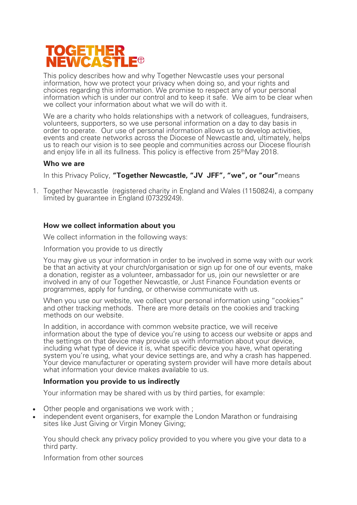# **TOGETHER<br>NEWCASTL**  $\blacksquare$

This policy describes how and why Together Newcastle uses your personal information, how we protect your privacy when doing so, and your rights and choices regarding this information. We promise to respect any of your personal information which is under our control and to keep it safe. We aim to be clear when we collect your information about what we will do with it.

We are a charity who holds relationships with a network of colleagues, fundraisers, volunteers, supporters, so we use personal information on a day to day basis in order to operate. Our use of personal information allows us to develop activities, events and create networks across the Diocese of Newcastle and, ultimately, helps us to reach our vision is to see people and communities across our Diocese flourish and enjoy life in all its fullness. This policy is effective from 25<sup>th</sup>May 2018.

# **Who we are**

In this Privacy Policy, **"Together Newcastle, "JV JFF", "we", or "our"**means

1. Together Newcastle (registered charity in England and Wales (1150824), a company limited by guarantee in England (07329249).

# **How we collect information about you**

We collect information in the following ways:

Information you provide to us directly

You may give us your information in order to be involved in some way with our work be that an activity at your church/organisation or sign up for one of our events, make a donation, register as a volunteer, ambassador for us, join our newsletter or are involved in any of our Together Newcastle, or Just Finance Foundation events or programmes, apply for funding, or otherwise communicate with us.

When you use our website, we collect your personal information using "cookies" and other tracking methods. There are more details on the cookies and tracking methods on our website.

In addition, in accordance with common website practice, we will receive information about the type of device you're using to access our website or apps and the settings on that device may provide us with information about your device, including what type of device it is, what specific device you have, what operating system you're using, what your device settings are, and why a crash has happened. Your device manufacturer or operating system provider will have more details about what information your device makes available to us.

# **Information you provide to us indirectly**

Your information may be shared with us by third parties, for example:

- Other people and organisations we work with ;
- independent event organisers, for example the London Marathon or fundraising sites like Just Giving or Virgin Money Giving;

You should check any privacy policy provided to you where you give your data to a third party.

Information from other sources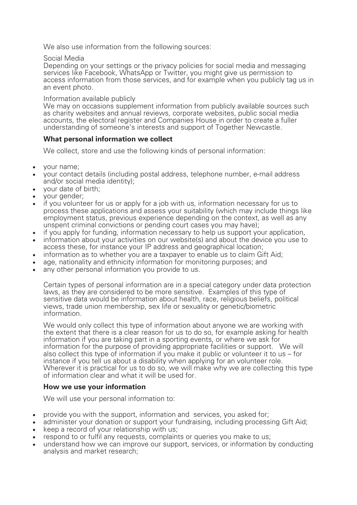We also use information from the following sources:

#### Social Media

Depending on your settings or the privacy policies for social media and messaging services like Facebook, WhatsApp or Twitter, you might give us permission to access information from those services, and for example when you publicly tag us in an event photo.

## Information available publicly

We may on occasions supplement information from publicly available sources such as charity websites and annual reviews, corporate websites, public social media accounts, the electoral register and Companies House in order to create a fuller understanding of someone's interests and support of Together Newcastle.

# **What personal information we collect**

We collect, store and use the following kinds of personal information:

- your name;
- your contact details (including postal address, telephone number, e-mail address and/or social media identity);
- your date of birth;
- your gender;
- if you volunteer for us or apply for a job with us, information necessary for us to process these applications and assess your suitability (which may include things like employment status, previous experience depending on the context, as well as any unspent criminal convictions or pending court cases you may have);
- if you apply for funding, information necessary to help us support your application,
- information about your activities on our website(s) and about the device you use to access these, for instance your IP address and geographical location;
- information as to whether you are a taxpayer to enable us to claim Gift Aid;
- age, nationality and ethnicity information for monitoring purposes; and
- any other personal information you provide to us.

Certain types of personal information are in a special category under data protection laws, as they are considered to be more sensitive. Examples of this type of sensitive data would be information about health, race, religious beliefs, political views, trade union membership, sex life or sexuality or genetic/biometric information.

We would only collect this type of information about anyone we are working with the extent that there is a clear reason for us to do so, for example asking for health information if you are taking part in a sporting events, or where we ask for information for the purpose of providing appropriate facilities or support. We will also collect this type of information if you make it public or volunteer it to us – for instance if you tell us about a disability when applying for an volunteer role. Wherever it is practical for us to do so, we will make why we are collecting this type of information clear and what it will be used for.

## **How we use your information**

We will use your personal information to:

- provide you with the support, information and services, you asked for;
- administer your donation or support your fundraising, including processing Gift Aid;
- keep a record of your relationship with us;
- respond to or fulfil any requests, complaints or queries you make to us;
- understand how we can improve our support, services, or information by conducting analysis and market research;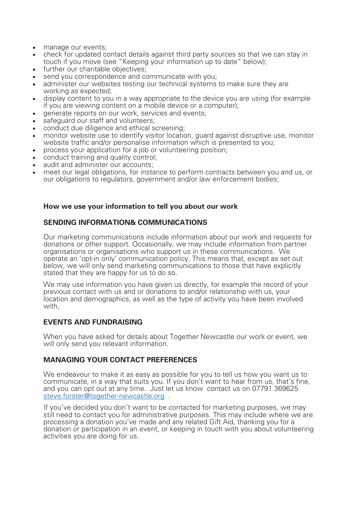- manage our events:
- check for updated contact details against third party sources so that we can stay in touch if you move (see "Keeping your information up to date" below);
- further our charitable objectives:
- send you correspondence and communicate with you:
- administer our websites testing our technical systems to make sure they are working as expected;
- display content to you in a way appropriate to the device you are using (for example if you are viewing content on a mobile device or a computer);
- generate reports on our work, services and events;
- safeguard our staff and volunteers;
- conduct due diligence and ethical screening;
- monitor website use to identify visitor location, quard against disruptive use, monitor website traffic and/or personalise information which is presented to you;
- process your application for a job or volunteering position;
- conduct training and quality control;
- audit and administer our accounts:
- meet our legal obligations, for instance to perform contracts between you and us, or our obligations to regulators, government and/or law enforcement bodies;

#### **How we use your information to tell you about our work**

## **SENDING INFORMATION& COMMUNICATIONS**

Our marketing communications include information about our work and requests for donations or other support. Occasionally, we may include information from partner organisations or organisations who support us in these communications. We operate an 'opt-in only' communication policy. This means that, except as set out below, we will only send marketing communications to those that have explicitly stated that they are happy for us to do so.

We may use information you have given us directly, for example the record of your previous contact with us and or donations to and/or relationship with us, your location and demographics, as well as the type of activity you have been involved with

## **EVENTS AND FUNDRAISING**

When you have asked for details about Together Newcastle our work or event, we will only send you relevant information.

## **MANAGING YOUR CONTACT PREFERENCES**

We endeavour to make it as easy as possible for you to tell us how you want us to communicate, in a way that suits you. If you don't want to hear from us, that's fine, and you can opt out at any time. Just let us know contact us on 07791 369625 steve.forster@together-newcastle.org .

If you've decided you don't want to be contacted for marketing purposes, we may still need to contact you for administrative purposes. This may include where we are processing a donation you've made and any related Gift Aid, thanking you for a donation or participation in an event, or keeping in touch with you about volunteering activities you are doing for us.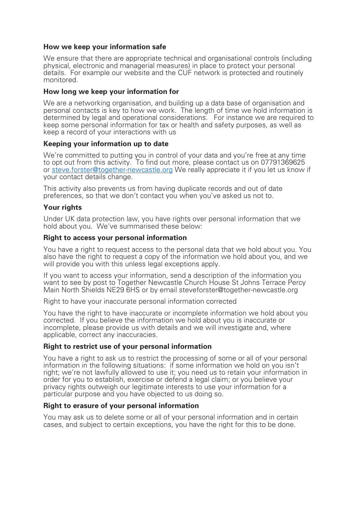## **How we keep your information safe**

We ensure that there are appropriate technical and organisational controls (including physical, electronic and managerial measures) in place to protect your personal details. For example our website and the CUF network is protected and routinely monitored.

## **How long we keep your information for**

We are a networking organisation, and building up a data base of organisation and personal contacts is key to how we work. The length of time we hold information is determined by legal and operational considerations. For instance we are required to keep some personal information for tax or health and safety purposes, as well as keep a record of your interactions with us

## **Keeping your information up to date**

We're committed to putting you in control of your data and you're free at any time to opt out from this activity. To find out more, please contact us on 07791369625 or steve.forster@together-newcastle.org We really appreciate it if you let us know if your contact details change.

This activity also prevents us from having duplicate records and out of date preferences, so that we don't contact you when you've asked us not to.

# **Your rights**

Under UK data protection law, you have rights over personal information that we hold about you. We've summarised these below:

## **Right to access your personal information**

You have a right to request access to the personal data that we hold about you. You also have the right to request a copy of the information we hold about you, and we will provide you with this unless legal exceptions apply.

If you want to access your information, send a description of the information you want to see by post to Together Newcastle Church House St Johns Terrace Percy Main North Shields NE29 6HS or by email steveforster@together-newcastle.org

Right to have your inaccurate personal information corrected

You have the right to have inaccurate or incomplete information we hold about you corrected. If you believe the information we hold about you is inaccurate or incomplete, please provide us with details and we will investigate and, where applicable, correct any inaccuracies.

# **Right to restrict use of your personal information**

You have a right to ask us to restrict the processing of some or all of your personal information in the following situations: if some information we hold on you isn't right; we're not lawfully allowed to use it; you need us to retain your information in order for you to establish, exercise or defend a legal claim; or you believe your privacy rights outweigh our legitimate interests to use your information for a particular purpose and you have objected to us doing so.

## **Right to erasure of your personal information**

You may ask us to delete some or all of your personal information and in certain cases, and subject to certain exceptions, you have the right for this to be done.